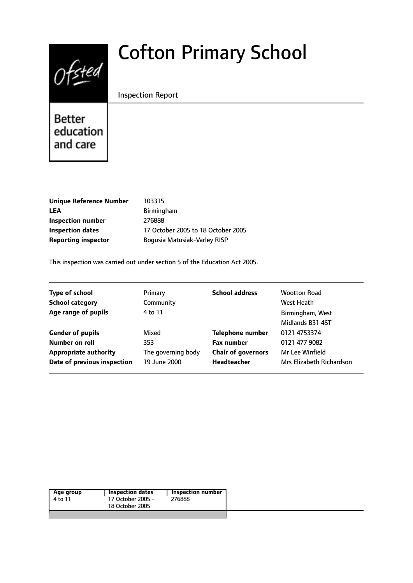# $0$ fsted

# Cofton Primary School

#### Inspection Report

Better education and care

| <b>Unique Reference Number</b> | 103315                             |
|--------------------------------|------------------------------------|
| LEA                            | Birmingham                         |
| Inspection number              | 276888                             |
| <b>Inspection dates</b>        | 17 October 2005 to 18 October 2005 |
| <b>Reporting inspector</b>     | Boqusia Matusiak-Varley RISP       |
|                                |                                    |

This inspection was carried out under section 5 of the Education Act 2005.

| <b>Type of school</b><br><b>School category</b><br>Age range of pupils | Primary<br>Community<br>4 to 11 | <b>School address</b>     | <b>Wootton Road</b><br>West Heath<br>Birmingham, West<br>Midlands B31 4ST |
|------------------------------------------------------------------------|---------------------------------|---------------------------|---------------------------------------------------------------------------|
| <b>Gender of pupils</b>                                                | Mixed                           | <b>Telephone number</b>   | 0121 4753374                                                              |
| Number on roll                                                         | 353                             | <b>Fax number</b>         | 0121 477 9082                                                             |
| <b>Appropriate authority</b>                                           | The governing body              | <b>Chair of governors</b> | Mr Lee Winfield                                                           |
| Date of previous inspection                                            | 19 June 2000                    | <b>Headteacher</b>        | Mrs Elizabeth Richardson                                                  |

| Age group<br>4 to 11 | <b>Inspection dates</b><br>17 October 2005 -<br>18 October 2005 | <b>Inspection number</b><br>276888 |
|----------------------|-----------------------------------------------------------------|------------------------------------|
|                      |                                                                 |                                    |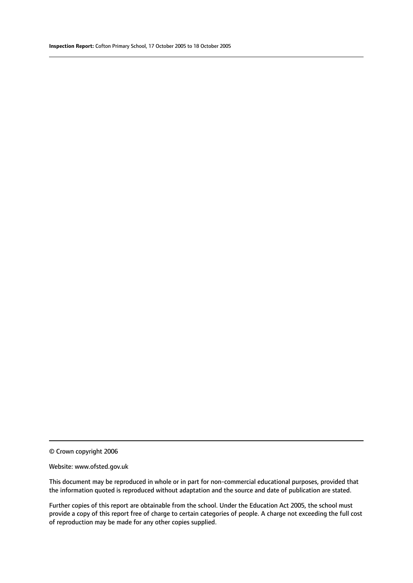#### Website: www.ofsted.gov.uk

This document may be reproduced in whole or in part for non-commercial educational purposes, provided that the information quoted is reproduced without adaptation and the source and date of publication are stated.

Further copies of this report are obtainable from the school. Under the Education Act 2005, the school must provide a copy of this report free of charge to certain categories of people. A charge not exceeding the full cost of reproduction may be made for any other copies supplied.

<sup>©</sup> Crown copyright 2006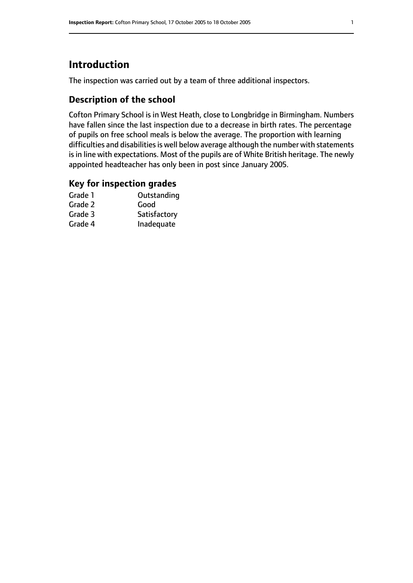# **Introduction**

The inspection was carried out by a team of three additional inspectors.

# **Description of the school**

Cofton Primary School is in West Heath, close to Longbridge in Birmingham. Numbers have fallen since the last inspection due to a decrease in birth rates. The percentage of pupils on free school meals is below the average. The proportion with learning difficulties and disabilities is well below average although the number with statements is in line with expectations. Most of the pupils are of White British heritage. The newly appointed headteacher has only been in post since January 2005.

#### **Key for inspection grades**

| Grade 1 | Outstanding  |
|---------|--------------|
| Grade 2 | Good         |
| Grade 3 | Satisfactory |
| Grade 4 | Inadequate   |
|         |              |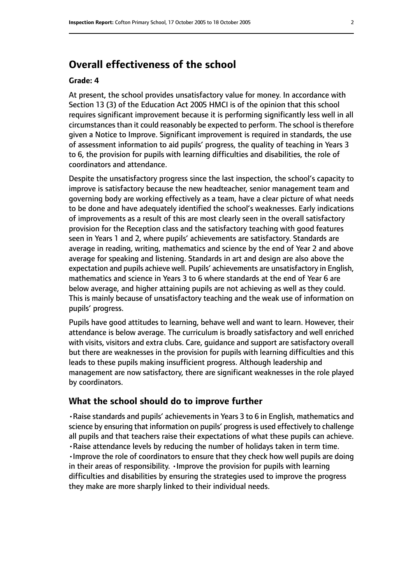# **Overall effectiveness of the school**

#### **Grade: 4**

At present, the school provides unsatisfactory value for money. In accordance with Section 13 (3) of the Education Act 2005 HMCI is of the opinion that this school requires significant improvement because it is performing significantly less well in all circumstances than it could reasonably be expected to perform. The school is therefore given a Notice to Improve. Significant improvement is required in standards, the use of assessment information to aid pupils' progress, the quality of teaching in Years 3 to 6, the provision for pupils with learning difficulties and disabilities, the role of coordinators and attendance.

Despite the unsatisfactory progress since the last inspection, the school's capacity to improve is satisfactory because the new headteacher, senior management team and governing body are working effectively as a team, have a clear picture of what needs to be done and have adequately identified the school's weaknesses. Early indications of improvements as a result of this are most clearly seen in the overall satisfactory provision for the Reception class and the satisfactory teaching with good features seen in Years 1 and 2, where pupils' achievements are satisfactory. Standards are average in reading, writing, mathematics and science by the end of Year 2 and above average for speaking and listening. Standards in art and design are also above the expectation and pupils achieve well. Pupils' achievements are unsatisfactory in English, mathematics and science in Years 3 to 6 where standards at the end of Year 6 are below average, and higher attaining pupils are not achieving as well as they could. This is mainly because of unsatisfactory teaching and the weak use of information on pupils' progress.

Pupils have good attitudes to learning, behave well and want to learn. However, their attendance is below average. The curriculum is broadly satisfactory and well enriched with visits, visitors and extra clubs. Care, guidance and support are satisfactory overall but there are weaknesses in the provision for pupils with learning difficulties and this leads to these pupils making insufficient progress. Although leadership and management are now satisfactory, there are significant weaknesses in the role played by coordinators.

#### **What the school should do to improve further**

•Raise standards and pupils' achievements in Years 3 to 6 in English, mathematics and science by ensuring that information on pupils' progress is used effectively to challenge all pupils and that teachers raise their expectations of what these pupils can achieve. •Raise attendance levels by reducing the number of holidays taken in term time. •Improve the role of coordinators to ensure that they check how well pupils are doing in their areas of responsibility. •Improve the provision for pupils with learning difficulties and disabilities by ensuring the strategies used to improve the progress they make are more sharply linked to their individual needs.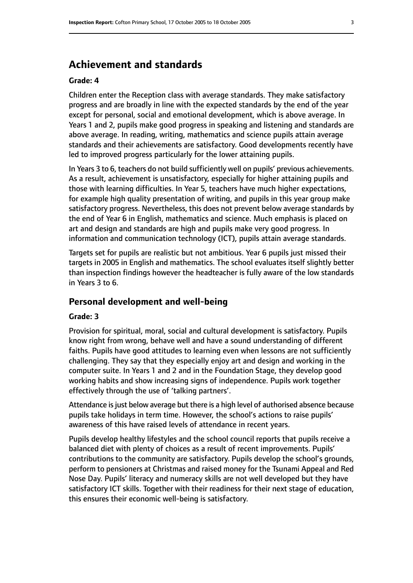# **Achievement and standards**

#### **Grade: 4**

Children enter the Reception class with average standards. They make satisfactory progress and are broadly in line with the expected standards by the end of the year except for personal, social and emotional development, which is above average. In Years 1 and 2, pupils make good progress in speaking and listening and standards are above average. In reading, writing, mathematics and science pupils attain average standards and their achievements are satisfactory. Good developments recently have led to improved progress particularly for the lower attaining pupils.

In Years 3 to 6, teachers do not build sufficiently well on pupils' previous achievements. As a result, achievement is unsatisfactory, especially for higher attaining pupils and those with learning difficulties. In Year 5, teachers have much higher expectations, for example high quality presentation of writing, and pupils in this year group make satisfactory progress. Nevertheless, this does not prevent below average standards by the end of Year 6 in English, mathematics and science. Much emphasis is placed on art and design and standards are high and pupils make very good progress. In information and communication technology (ICT), pupils attain average standards.

Targets set for pupils are realistic but not ambitious. Year 6 pupils just missed their targets in 2005 in English and mathematics. The school evaluates itself slightly better than inspection findings however the headteacher is fully aware of the low standards in Years 3 to 6.

#### **Personal development and well-being**

#### **Grade: 3**

Provision for spiritual, moral, social and cultural development is satisfactory. Pupils know right from wrong, behave well and have a sound understanding of different faiths. Pupils have good attitudes to learning even when lessons are not sufficiently challenging. They say that they especially enjoy art and design and working in the computer suite. In Years 1 and 2 and in the Foundation Stage, they develop good working habits and show increasing signs of independence. Pupils work together effectively through the use of 'talking partners'.

Attendance is just below average but there is a high level of authorised absence because pupils take holidays in term time. However, the school's actions to raise pupils' awareness of this have raised levels of attendance in recent years.

Pupils develop healthy lifestyles and the school council reports that pupils receive a balanced diet with plenty of choices as a result of recent improvements. Pupils' contributions to the community are satisfactory. Pupils develop the school's grounds, perform to pensioners at Christmas and raised money for the Tsunami Appeal and Red Nose Day. Pupils' literacy and numeracy skills are not well developed but they have satisfactory ICT skills. Together with their readiness for their next stage of education, this ensures their economic well-being is satisfactory.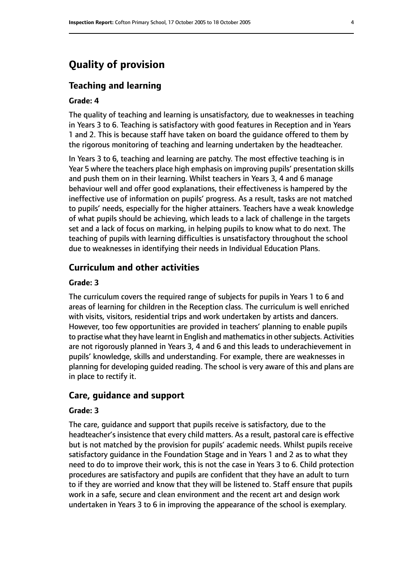# **Quality of provision**

#### **Teaching and learning**

#### **Grade: 4**

The quality of teaching and learning is unsatisfactory, due to weaknesses in teaching in Years 3 to 6. Teaching is satisfactory with good features in Reception and in Years 1 and 2. This is because staff have taken on board the guidance offered to them by the rigorous monitoring of teaching and learning undertaken by the headteacher.

In Years 3 to 6, teaching and learning are patchy. The most effective teaching is in Year 5 where the teachers place high emphasis on improving pupils' presentation skills and push them on in their learning. Whilst teachers in Years 3, 4 and 6 manage behaviour well and offer good explanations, their effectiveness is hampered by the ineffective use of information on pupils' progress. As a result, tasks are not matched to pupils' needs, especially for the higher attainers. Teachers have a weak knowledge of what pupils should be achieving, which leads to a lack of challenge in the targets set and a lack of focus on marking, in helping pupils to know what to do next. The teaching of pupils with learning difficulties is unsatisfactory throughout the school due to weaknesses in identifying their needs in Individual Education Plans.

#### **Curriculum and other activities**

#### **Grade: 3**

The curriculum covers the required range of subjects for pupils in Years 1 to 6 and areas of learning for children in the Reception class. The curriculum is well enriched with visits, visitors, residential trips and work undertaken by artists and dancers. However, too few opportunities are provided in teachers' planning to enable pupils to practise what they have learnt in English and mathematics in other subjects. Activities are not rigorously planned in Years 3, 4 and 6 and this leads to underachievement in pupils' knowledge, skills and understanding. For example, there are weaknesses in planning for developing guided reading. The school is very aware of this and plans are in place to rectify it.

#### **Care, guidance and support**

#### **Grade: 3**

The care, guidance and support that pupils receive is satisfactory, due to the headteacher's insistence that every child matters. As a result, pastoral care is effective but is not matched by the provision for pupils' academic needs. Whilst pupils receive satisfactory guidance in the Foundation Stage and in Years 1 and 2 as to what they need to do to improve their work, this is not the case in Years 3 to 6. Child protection procedures are satisfactory and pupils are confident that they have an adult to turn to if they are worried and know that they will be listened to. Staff ensure that pupils work in a safe, secure and clean environment and the recent art and design work undertaken in Years 3 to 6 in improving the appearance of the school is exemplary.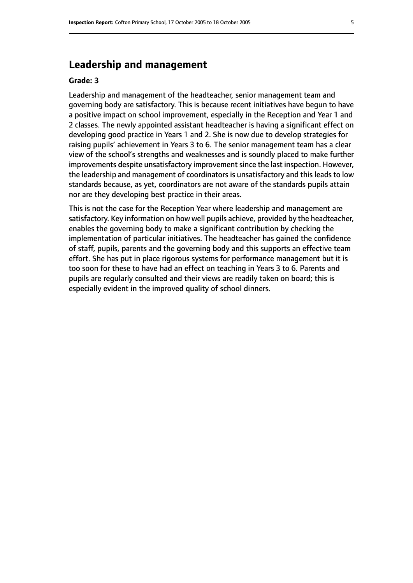# **Leadership and management**

#### **Grade: 3**

Leadership and management of the headteacher, senior management team and governing body are satisfactory. This is because recent initiatives have begun to have a positive impact on school improvement, especially in the Reception and Year 1 and 2 classes. The newly appointed assistant headteacher is having a significant effect on developing good practice in Years 1 and 2. She is now due to develop strategies for raising pupils' achievement in Years 3 to 6. The senior management team has a clear view of the school's strengths and weaknesses and is soundly placed to make further improvements despite unsatisfactory improvement since the last inspection. However, the leadership and management of coordinators is unsatisfactory and this leads to low standards because, as yet, coordinators are not aware of the standards pupils attain nor are they developing best practice in their areas.

This is not the case for the Reception Year where leadership and management are satisfactory. Key information on how well pupils achieve, provided by the headteacher, enables the governing body to make a significant contribution by checking the implementation of particular initiatives. The headteacher has gained the confidence of staff, pupils, parents and the governing body and this supports an effective team effort. She has put in place rigorous systems for performance management but it is too soon for these to have had an effect on teaching in Years 3 to 6. Parents and pupils are regularly consulted and their views are readily taken on board; this is especially evident in the improved quality of school dinners.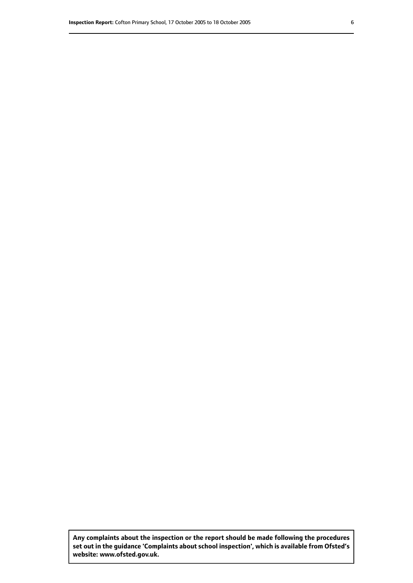**Any complaints about the inspection or the report should be made following the procedures set out inthe guidance 'Complaints about school inspection', whichis available from Ofsted's website: www.ofsted.gov.uk.**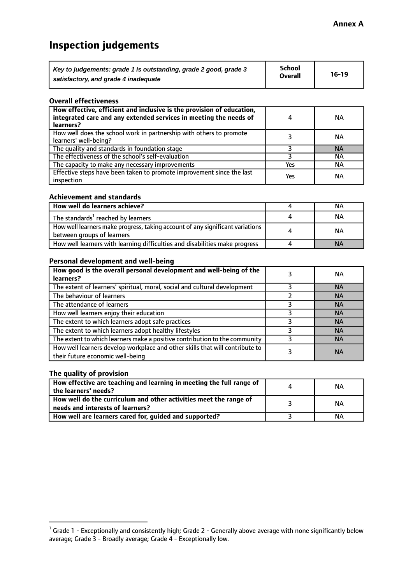# **Inspection judgements**

| Key to judgements: grade 1 is outstanding, grade 2 good, grade 3 | <b>School</b>  | $16-19$ |
|------------------------------------------------------------------|----------------|---------|
| satisfactory, and grade 4 inadequate                             | <b>Overall</b> |         |

#### **Overall effectiveness**

| How effective, efficient and inclusive is the provision of education,<br>integrated care and any extended services in meeting the needs of<br>learners? | 4   | <b>NA</b> |
|---------------------------------------------------------------------------------------------------------------------------------------------------------|-----|-----------|
| How well does the school work in partnership with others to promote<br>learners' well-being?                                                            |     | NА        |
| The quality and standards in foundation stage                                                                                                           |     | <b>NA</b> |
| The effectiveness of the school's self-evaluation                                                                                                       |     | ΝA        |
| The capacity to make any necessary improvements                                                                                                         | Yes | NА        |
| Effective steps have been taken to promote improvement since the last<br>inspection                                                                     | Yes | ΝA        |

#### **Achievement and standards**

| How well do learners achieve?                                                                               | NА        |
|-------------------------------------------------------------------------------------------------------------|-----------|
| The standards <sup>1</sup> reached by learners                                                              | NА        |
| How well learners make progress, taking account of any significant variations<br>between groups of learners | <b>NA</b> |
| How well learners with learning difficulties and disabilities make progress                                 | <b>NA</b> |

#### **Personal development and well-being**

| How good is the overall personal development and well-being of the<br>learners?                                  | ΝA        |
|------------------------------------------------------------------------------------------------------------------|-----------|
| The extent of learners' spiritual, moral, social and cultural development                                        | <b>NA</b> |
| The behaviour of learners                                                                                        | <b>NA</b> |
| The attendance of learners                                                                                       | <b>NA</b> |
| How well learners enjoy their education                                                                          | <b>NA</b> |
| The extent to which learners adopt safe practices                                                                | <b>NA</b> |
| The extent to which learners adopt healthy lifestyles                                                            | <b>NA</b> |
| The extent to which learners make a positive contribution to the community                                       | <b>NA</b> |
| How well learners develop workplace and other skills that will contribute to<br>their future economic well-being | <b>NA</b> |

#### **The quality of provision**

| How effective are teaching and learning in meeting the full range of<br>the learners' needs?          | ΝA |
|-------------------------------------------------------------------------------------------------------|----|
| How well do the curriculum and other activities meet the range of<br>needs and interests of learners? | ΝA |
| How well are learners cared for, guided and supported?                                                | NА |

 $^1$  Grade 1 - Exceptionally and consistently high; Grade 2 - Generally above average with none significantly below average; Grade 3 - Broadly average; Grade 4 - Exceptionally low.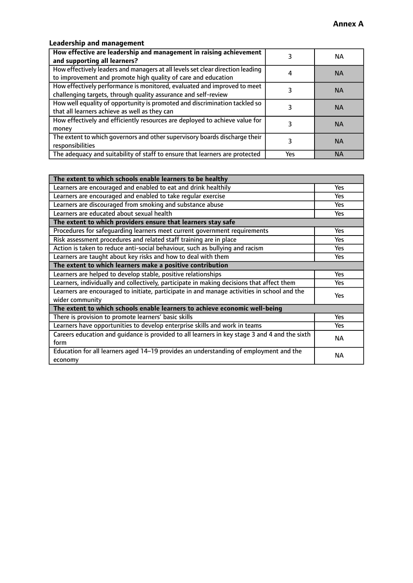### **Leadership and management**

| How effective are leadership and management in raising achievement<br>and supporting all learners?                                              |     | NA.       |
|-------------------------------------------------------------------------------------------------------------------------------------------------|-----|-----------|
| How effectively leaders and managers at all levels set clear direction leading<br>to improvement and promote high quality of care and education |     | <b>NA</b> |
| How effectively performance is monitored, evaluated and improved to meet<br>challenging targets, through quality assurance and self-review      |     | <b>NA</b> |
| How well equality of opportunity is promoted and discrimination tackled so<br>that all learners achieve as well as they can                     |     | <b>NA</b> |
| How effectively and efficiently resources are deployed to achieve value for<br>money                                                            |     | <b>NA</b> |
| The extent to which governors and other supervisory boards discharge their<br>responsibilities                                                  |     | <b>NA</b> |
| The adequacy and suitability of staff to ensure that learners are protected                                                                     | Yes | <b>NA</b> |

| The extent to which schools enable learners to be healthy                                     |            |
|-----------------------------------------------------------------------------------------------|------------|
| Learners are encouraged and enabled to eat and drink healthily                                | Yes        |
| Learners are encouraged and enabled to take regular exercise                                  | <b>Yes</b> |
| Learners are discouraged from smoking and substance abuse                                     | Yes        |
| Learners are educated about sexual health                                                     | Yes        |
| The extent to which providers ensure that learners stay safe                                  |            |
| Procedures for safequarding learners meet current government requirements                     | Yes        |
| Risk assessment procedures and related staff training are in place                            | <b>Yes</b> |
| Action is taken to reduce anti-social behaviour, such as bullying and racism                  | <b>Yes</b> |
| Learners are taught about key risks and how to deal with them                                 |            |
| The extent to which learners make a positive contribution                                     |            |
| Learners are helped to develop stable, positive relationships                                 | Yes        |
| Learners, individually and collectively, participate in making decisions that affect them     | Yes        |
| Learners are encouraged to initiate, participate in and manage activities in school and the   | <b>Yes</b> |
| wider community                                                                               |            |
| The extent to which schools enable learners to achieve economic well-being                    |            |
| There is provision to promote learners' basic skills                                          | Yes        |
| Learners have opportunities to develop enterprise skills and work in teams                    | Yes        |
| Careers education and guidance is provided to all learners in key stage 3 and 4 and the sixth | <b>NA</b>  |
| form                                                                                          |            |
| Education for all learners aged 14-19 provides an understanding of employment and the         | NА         |
| economy                                                                                       |            |